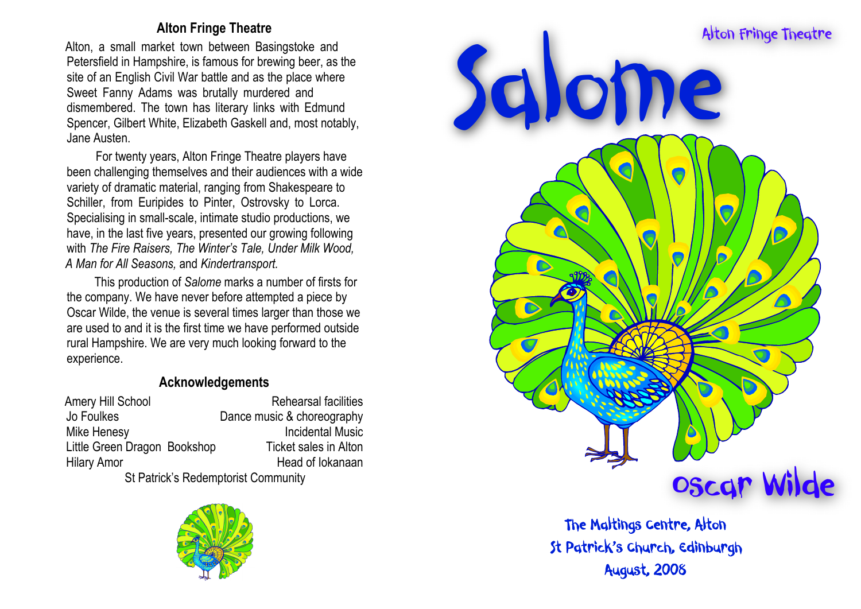## **Alton Fringe Theatre**

Alton, a small market town between Basingstoke and Petersfield in Hampshire, is famous for brewing beer, as the site of an English Civil War battle and as the place where Sweet Fanny Adams was brutally murdered and dismembered. The town has literary links with Edmund Spencer, Gilbert White, Elizabeth Gaskell and, most notably, Jane Austen.

For twenty years, Alton Fringe Theatre players have been challenging themselves and their audiences with a wide variety of dramatic material, ranging from Shakespeare to Schiller, from Euripides to Pinter, Ostrovsky to Lorca. Specialising in small-scale, intimate studio productions, we have, in the last five years, presented our growing following with *The Fire Raisers, The Winter's Tale, Under Milk Wood, A Man for All Seasons,* and *Kindertransport.*

This production of *Salome* marks a number of firsts for the company. We have never before attempted a piece by Oscar Wilde, the venue is several times larger than those we are used to and it is the first time we have performed outside rural Hampshire. We are very much looking forward to the experience.

## **Acknowledgements**

| Amery Hill School                    | <b>Rehearsal facilities</b>  |
|--------------------------------------|------------------------------|
| Jo Foulkes                           | Dance music & choreography   |
| Mike Henesy                          | <b>Incidental Music</b>      |
| Little Green Dragon Bookshop         | <b>Ticket sales in Alton</b> |
| <b>Hilary Amor</b>                   | Head of lokanaan             |
| Ct Datriole's Dodamptoriat Cammunity |                              |

St Patrick's Redemptorist Community





The Maltings Centre, Alton St Patrick's Church, Edinburgh **August, 2008**